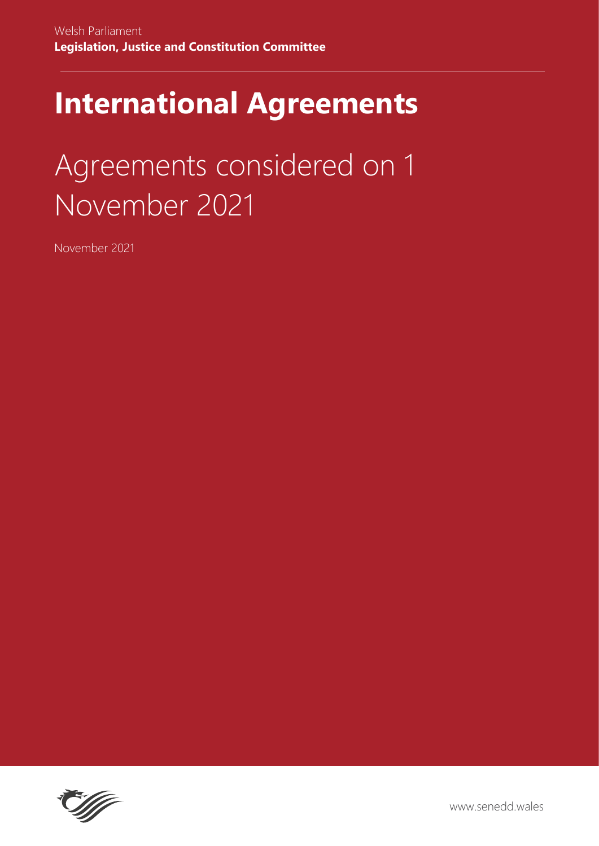## **International Agreements**

# Agreements considered on 1 November 2021

November 2021

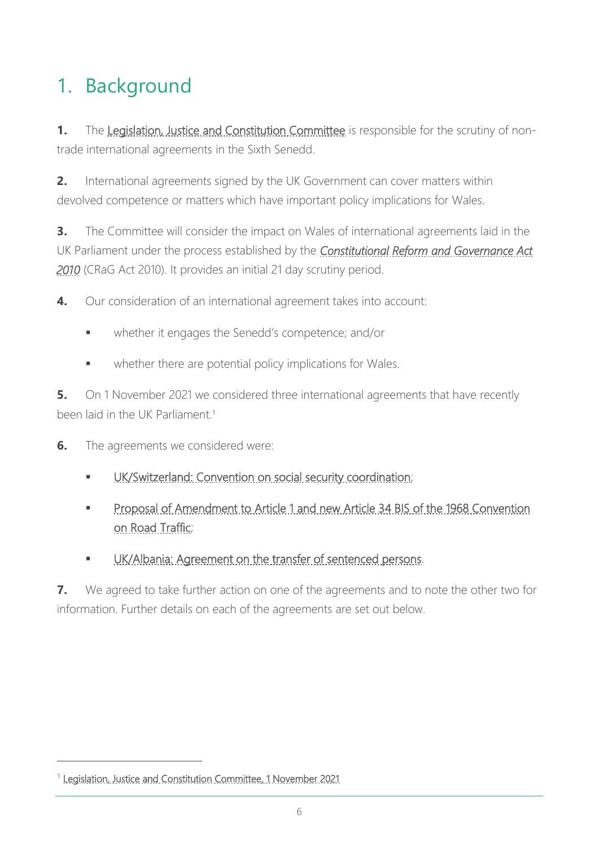### 1. Background

**1.** The [Legislation, Justice and Constitution Committee](https://senedd.wales/committee/725) is responsible for the scrutiny of nontrade international agreements in the Sixth Senedd.

**2.** International agreements signed by the UK Government can cover matters within devolved competence or matters which have important policy implications for Wales.

**3.** The Committee will consider the impact on Wales of international agreements laid in the UK Parliament under the process established by the *[Constitutional Reform and Governance Act](https://www.legislation.gov.uk/ukpga/2010/25?wrap=true)  [2010](https://www.legislation.gov.uk/ukpga/2010/25?wrap=true)* (CRaG Act 2010). It provides an initial 21 day scrutiny period.

**4.** Our consideration of an international agreement takes into account:

- whether it engages the Senedd's competence; and/or
- whether there are potential policy implications for Wales.

**5.** On 1 November 2021 we considered three international agreements that have recently been laid in the UK Parliament.<sup>1</sup>

- **6.** The agreements we considered were:
	- [UK/Switzerland: Convention on social security coordination;](https://www.gov.uk/government/publications/ukswitzerland-convention-on-social-security-coordination-cs-switzerland-no42021)
	- Proposal of Amendment to Article 1 and new Article 34 BIS of the 1968 Convention [on Road Traffic;](https://www.gov.uk/government/publications/proposal-of-amendment-to-article-1-and-new-article-34-bis-of-the-1968-convention-on-road-traffic-ms-no52021)
	- [UK/Albania: Agreement on the transfer of sentenced persons.](https://www.gov.uk/government/publications/ukalbania-agreement-on-the-transfer-of-sentenced-persons-cs-albania-no32021)

**7.** We agreed to take further action on one of the agreements and to note the other two for information. Further details on each of the agreements are set out below.

<sup>&</sup>lt;sup>1</sup> [Legislation, Justice and Constitution Committee, 1 November 2021](https://business.senedd.wales/ieListDocuments.aspx?CId=725&MId=12481&Ver=4)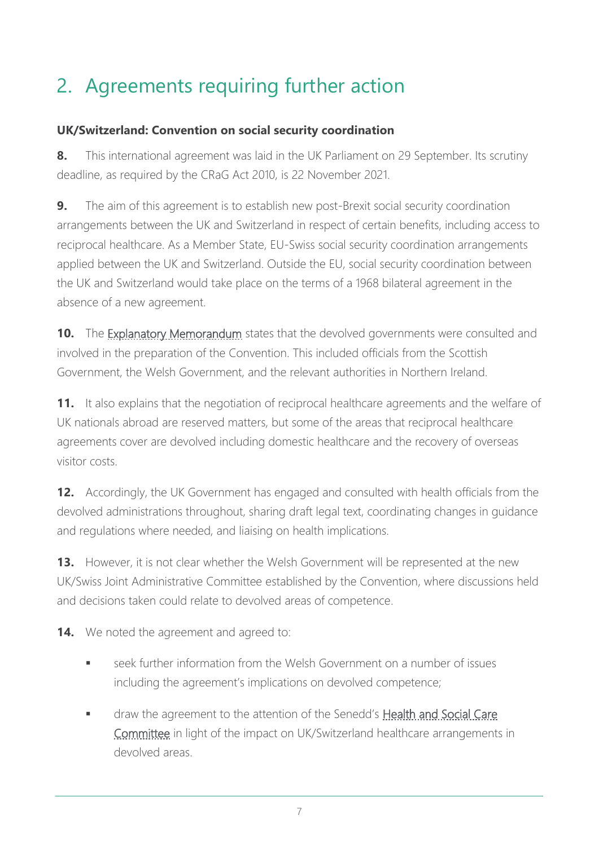### 2. Agreements requiring further action

#### **UK/Switzerland: Convention on social security coordination**

**8.** This international agreement was laid in the UK Parliament on 29 September. Its scrutiny deadline, as required by the CRaG Act 2010, is 22 November 2021.

**9.** The aim of this agreement is to establish new post-Brexit social security coordination arrangements between the UK and Switzerland in respect of certain benefits, including access to reciprocal healthcare. As a Member State, EU-Swiss social security coordination arrangements applied between the UK and Switzerland. Outside the EU, social security coordination between the UK and Switzerland would take place on the terms of a 1968 bilateral agreement in the absence of a new agreement.

**10.** The [Explanatory Memorandum](https://assets.publishing.service.gov.uk/government/uploads/system/uploads/attachment_data/file/1021443/EM_CS_Swiss_4.2021_UK_Swiss_Social_Security_Coordination.odt) states that the devolved governments were consulted and involved in the preparation of the Convention. This included officials from the Scottish Government, the Welsh Government, and the relevant authorities in Northern Ireland.

**11.** It also explains that the negotiation of reciprocal healthcare agreements and the welfare of UK nationals abroad are reserved matters, but some of the areas that reciprocal healthcare agreements cover are devolved including domestic healthcare and the recovery of overseas visitor costs.

**12.** Accordingly, the UK Government has engaged and consulted with health officials from the devolved administrations throughout, sharing draft legal text, coordinating changes in guidance and regulations where needed, and liaising on health implications.

**13.** However, it is not clear whether the Welsh Government will be represented at the new UK/Swiss Joint Administrative Committee established by the Convention, where discussions held and decisions taken could relate to devolved areas of competence.

**14.** We noted the agreement and agreed to:

- seek further information from the Welsh Government on a number of issues including the agreement's implications on devolved competence;
- draw the agreement to the attention of the Senedd's Health and Social Care [Committee](https://senedd.wales/committee/737) in light of the impact on UK/Switzerland healthcare arrangements in devolved areas.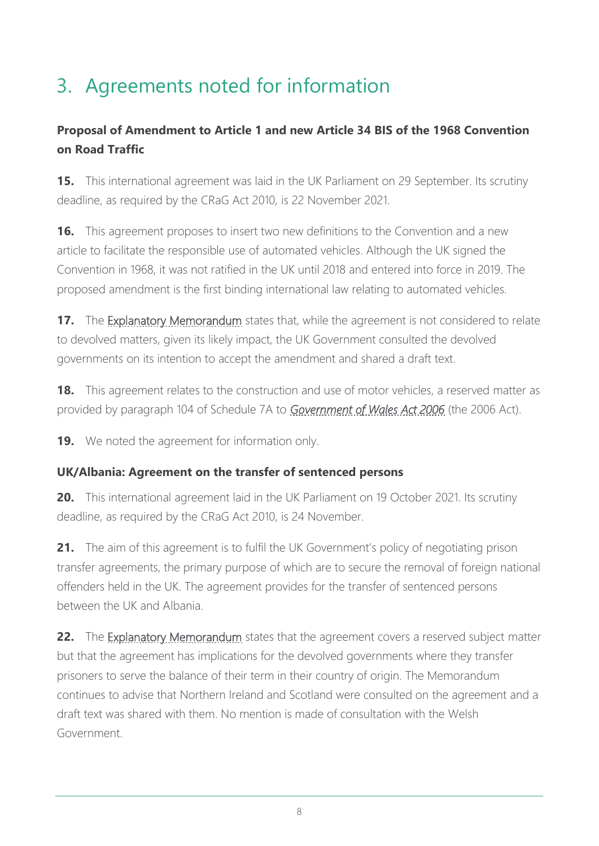### 3. Agreements noted for information

#### **Proposal of Amendment to Article 1 and new Article 34 BIS of the 1968 Convention on Road Traffic**

**15.** This international agreement was laid in the UK Parliament on 29 September. Its scrutiny deadline, as required by the CRaG Act 2010, is 22 November 2021.

**16.** This agreement proposes to insert two new definitions to the Convention and a new article to facilitate the responsible use of automated vehicles. Although the UK signed the Convention in 1968, it was not ratified in the UK until 2018 and entered into force in 2019. The proposed amendment is the first binding international law relating to automated vehicles.

**17.** The [Explanatory Memorandum](https://assets.publishing.service.gov.uk/government/uploads/system/uploads/attachment_data/file/1023594/EM_MS_5.2021_Proposal_Amendment_1968_Convention_Road_Traffic.odt) states that, while the agreement is not considered to relate to devolved matters, given its likely impact, the UK Government consulted the devolved governments on its intention to accept the amendment and shared a draft text.

**18.** This agreement relates to the construction and use of motor vehicles, a reserved matter as provided by paragraph 104 of Schedule 7A to *[Government of Wales Act 2006](https://www.legislation.gov.uk/ukpga/2006/32/contents)* (the 2006 Act).

**19.** We noted the agreement for information only.

#### **UK/Albania: Agreement on the transfer of sentenced persons**

**20.** This international agreement laid in the UK Parliament on 19 October 2021. Its scrutiny deadline, as required by the CRaG Act 2010, is 24 November.

**21.** The aim of this agreement is to fulfil the UK Government's policy of negotiating prison transfer agreements, the primary purpose of which are to secure the removal of foreign national offenders held in the UK. The agreement provides for the transfer of sentenced persons between the UK and Albania.

**22.** The [Explanatory Memorandum](https://assets.publishing.service.gov.uk/government/uploads/system/uploads/attachment_data/file/1026635/EM_CS_Albania_3.2021_UK_Albania_Transfer_Sentenced_Persons.odt) states that the agreement covers a reserved subject matter but that the agreement has implications for the devolved governments where they transfer prisoners to serve the balance of their term in their country of origin. The Memorandum continues to advise that Northern Ireland and Scotland were consulted on the agreement and a draft text was shared with them. No mention is made of consultation with the Welsh Government.